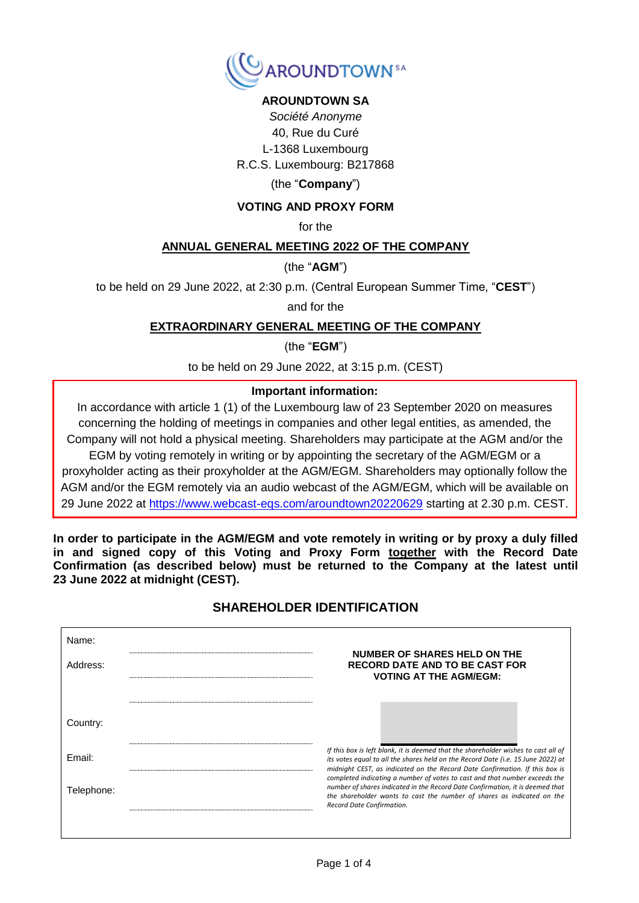

## **AROUNDTOWN SA**

*Société Anonyme* 40, Rue du Curé L-1368 Luxembourg R.C.S. Luxembourg: B217868

#### (the "**Company**")

#### **VOTING AND PROXY FORM**

for the

#### **ANNUAL GENERAL MEETING 2022 OF THE COMPANY**

(the "**AGM**")

to be held on 29 June 2022, at 2:30 p.m. (Central European Summer Time, "**CEST**")

and for the

#### **EXTRAORDINARY GENERAL MEETING OF THE COMPANY**

(the "**EGM**")

to be held on 29 June 2022, at 3:15 p.m. (CEST)

#### **Important information:**

In accordance with article 1 (1) of the Luxembourg law of 23 September 2020 on measures concerning the holding of meetings in companies and other legal entities, as amended, the Company will not hold a physical meeting. Shareholders may participate at the AGM and/or the EGM by voting remotely in writing or by appointing the secretary of the AGM/EGM or a proxyholder acting as their proxyholder at the AGM/EGM. Shareholders may optionally follow the AGM and/or the EGM remotely via an audio webcast of the AGM/EGM, which will be available on 29 June 2022 at<https://www.webcast-eqs.com/aroundtown20220629> starting at 2.30 p.m. CEST.

**In order to participate in the AGM/EGM and vote remotely in writing or by proxy a duly filled in and signed copy of this Voting and Proxy Form together with the Record Date Confirmation (as described below) must be returned to the Company at the latest until 23 June 2022 at midnight (CEST).** 

### **SHAREHOLDER IDENTIFICATION**

| Name:<br>Address: | NUMBER OF SHARES HELD ON THE<br><b>RECORD DATE AND TO BE CAST FOR</b><br><b>VOTING AT THE AGM/EGM:</b>                                                                                                                                                                                                                                                                                                               |
|-------------------|----------------------------------------------------------------------------------------------------------------------------------------------------------------------------------------------------------------------------------------------------------------------------------------------------------------------------------------------------------------------------------------------------------------------|
| Country:          |                                                                                                                                                                                                                                                                                                                                                                                                                      |
| Email:            | If this box is left blank, it is deemed that the shareholder wishes to cast all of<br>its votes equal to all the shares held on the Record Date (i.e. 15 June 2022) at<br>midnight CEST, as indicated on the Record Date Confirmation. If this box is<br>completed indicating a number of votes to cast and that number exceeds the<br>number of shares indicated in the Record Date Confirmation, it is deemed that |
| Telephone:        | the shareholder wants to cast the number of shares as indicated on the<br>Record Date Confirmation.                                                                                                                                                                                                                                                                                                                  |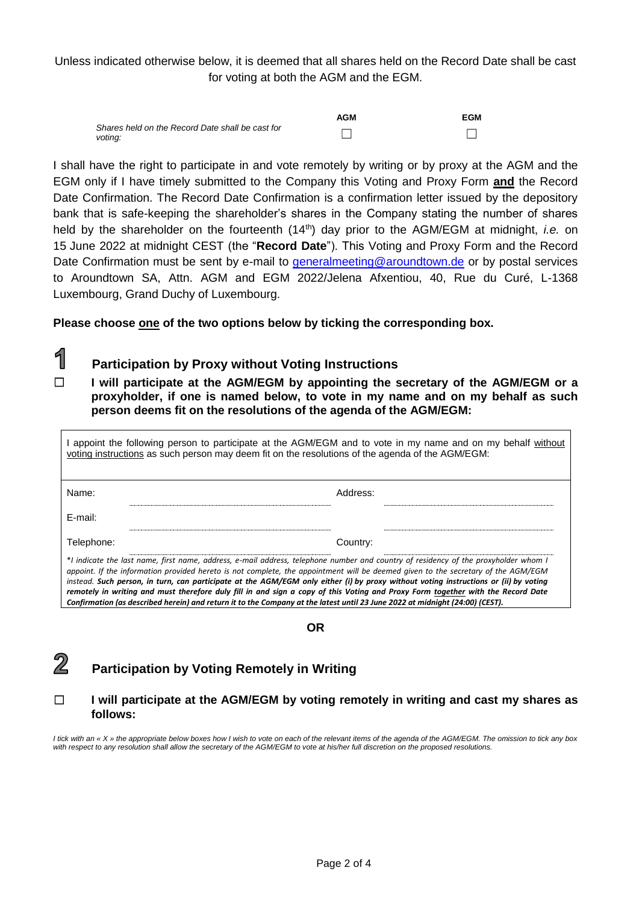Unless indicated otherwise below, it is deemed that all shares held on the Record Date shall be cast for voting at both the AGM and the EGM.

|                                                             | <b>AGM</b> | <b>EGM</b> |
|-------------------------------------------------------------|------------|------------|
| Shares held on the Record Date shall be cast for<br>voting: |            |            |

I shall have the right to participate in and vote remotely by writing or by proxy at the AGM and the EGM only if I have timely submitted to the Company this Voting and Proxy Form **and** the Record Date Confirmation. The Record Date Confirmation is a confirmation letter issued by the depository bank that is safe-keeping the shareholder's shares in the Company stating the number of shares held by the shareholder on the fourteenth (14<sup>th</sup>) day prior to the AGM/EGM at midnight, *i.e.* on 15 June 2022 at midnight CEST (the "**Record Date**"). This Voting and Proxy Form and the Record Date Confirmation must be sent by e-mail to *generalmeeting@aroundtown.de* or by postal services to Aroundtown SA, Attn. AGM and EGM 2022/Jelena Afxentiou, 40, Rue du Curé, L-1368 Luxembourg, Grand Duchy of Luxembourg.

**Please choose one of the two options below by ticking the corresponding box.**

# **Participation by Proxy without Voting Instructions**

☐ **I will participate at the AGM/EGM by appointing the secretary of the AGM/EGM or a proxyholder, if one is named below, to vote in my name and on my behalf as such person deems fit on the resolutions of the agenda of the AGM/EGM:** 

I appoint the following person to participate at the AGM/EGM and to vote in my name and on my behalf without voting instructions as such person may deem fit on the resolutions of the agenda of the AGM/EGM: Name: Address: E-mail: Telephone: Country: \**I indicate the last name, first name, address, e-mail address, telephone number and country of residency of the proxyholder whom I appoint. If the information provided hereto is not complete, the appointment will be deemed given to the secretary of the AGM/EGM instead. Such person, in turn, can participate at the AGM/EGM only either (i) by proxy without voting instructions or (ii) by voting remotely in writing and must therefore duly fill in and sign a copy of this Voting and Proxy Form together with the Record Date Confirmation (as described herein) and return it to the Company at the latest until 23 June 2022 at midnight (24:00) (CEST).*

**OR**



1

**Participation by Voting Remotely in Writing**

### ☐ **I will participate at the AGM/EGM by voting remotely in writing and cast my shares as follows:**

*I tick with an « X » the appropriate below boxes how I wish to vote on each of the relevant items of the agenda of the AGM/EGM. The omission to tick any box with respect to any resolution shall allow the secretary of the AGM/EGM to vote at his/her full discretion on the proposed resolutions.*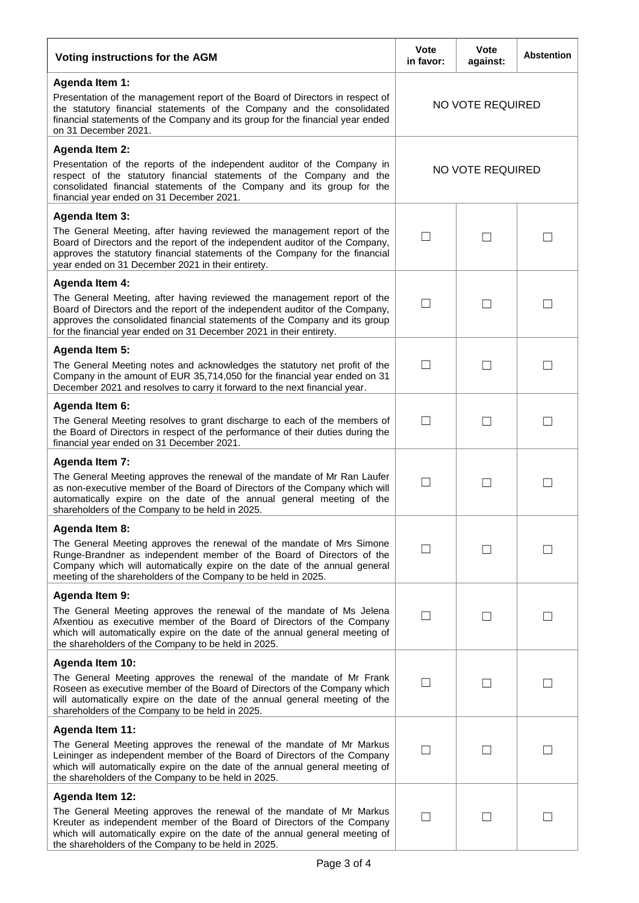| Voting instructions for the AGM                                                                                                                                                                                                                                                                                                        |                   | <b>Vote</b><br>against: | <b>Abstention</b> |
|----------------------------------------------------------------------------------------------------------------------------------------------------------------------------------------------------------------------------------------------------------------------------------------------------------------------------------------|-------------------|-------------------------|-------------------|
| <b>Agenda Item 1:</b><br>Presentation of the management report of the Board of Directors in respect of<br>the statutory financial statements of the Company and the consolidated<br>financial statements of the Company and its group for the financial year ended<br>on 31 December 2021.                                             | NO VOTE REQUIRED  |                         |                   |
| <b>Agenda Item 2:</b><br>Presentation of the reports of the independent auditor of the Company in<br>respect of the statutory financial statements of the Company and the<br>consolidated financial statements of the Company and its group for the<br>financial year ended on 31 December 2021.                                       | NO VOTE REQUIRED  |                         |                   |
| <b>Agenda Item 3:</b>                                                                                                                                                                                                                                                                                                                  |                   |                         |                   |
| The General Meeting, after having reviewed the management report of the<br>Board of Directors and the report of the independent auditor of the Company,<br>approves the statutory financial statements of the Company for the financial<br>year ended on 31 December 2021 in their entirety.                                           | $\Box$            | $\mathbf{I}$            |                   |
| <b>Agenda Item 4:</b><br>The General Meeting, after having reviewed the management report of the<br>Board of Directors and the report of the independent auditor of the Company,<br>approves the consolidated financial statements of the Company and its group<br>for the financial year ended on 31 December 2021 in their entirety. | П                 |                         |                   |
| Agenda Item 5:<br>The General Meeting notes and acknowledges the statutory net profit of the<br>Company in the amount of EUR 35,714,050 for the financial year ended on 31<br>December 2021 and resolves to carry it forward to the next financial year.                                                                               | П                 | $\mathsf{L}$            |                   |
| Agenda Item 6:                                                                                                                                                                                                                                                                                                                         |                   |                         |                   |
| The General Meeting resolves to grant discharge to each of the members of<br>the Board of Directors in respect of the performance of their duties during the<br>financial year ended on 31 December 2021.                                                                                                                              | $\Box$            |                         | $\vert \ \ \vert$ |
| <b>Agenda Item 7:</b><br>The General Meeting approves the renewal of the mandate of Mr Ran Laufer<br>as non-executive member of the Board of Directors of the Company which will<br>automatically expire on the date of the annual general meeting of the<br>shareholders of the Company to be held in 2025.                           | $\Box$            | $\mathsf{L}$            | $\vert \ \ \vert$ |
| Agenda Item 8:                                                                                                                                                                                                                                                                                                                         |                   |                         |                   |
| The General Meeting approves the renewal of the mandate of Mrs Simone<br>Runge-Brandner as independent member of the Board of Directors of the<br>Company which will automatically expire on the date of the annual general<br>meeting of the shareholders of the Company to be held in 2025.                                          |                   |                         |                   |
| <b>Agenda Item 9:</b>                                                                                                                                                                                                                                                                                                                  |                   |                         |                   |
| The General Meeting approves the renewal of the mandate of Ms Jelena<br>Afxentiou as executive member of the Board of Directors of the Company<br>which will automatically expire on the date of the annual general meeting of<br>the shareholders of the Company to be held in 2025.                                                  |                   |                         |                   |
| Agenda Item 10:                                                                                                                                                                                                                                                                                                                        |                   |                         |                   |
| The General Meeting approves the renewal of the mandate of Mr Frank<br>Roseen as executive member of the Board of Directors of the Company which<br>will automatically expire on the date of the annual general meeting of the<br>shareholders of the Company to be held in 2025.                                                      | $\vert \ \ \vert$ |                         |                   |
| Agenda Item 11:                                                                                                                                                                                                                                                                                                                        |                   |                         |                   |
| The General Meeting approves the renewal of the mandate of Mr Markus<br>Leininger as independent member of the Board of Directors of the Company<br>which will automatically expire on the date of the annual general meeting of<br>the shareholders of the Company to be held in 2025.                                                | $\Box$            | $\mathsf{L}$            |                   |
| Agenda Item 12:                                                                                                                                                                                                                                                                                                                        |                   |                         |                   |
| The General Meeting approves the renewal of the mandate of Mr Markus<br>Kreuter as independent member of the Board of Directors of the Company<br>which will automatically expire on the date of the annual general meeting of<br>the shareholders of the Company to be held in 2025.                                                  | $\Box$            |                         |                   |